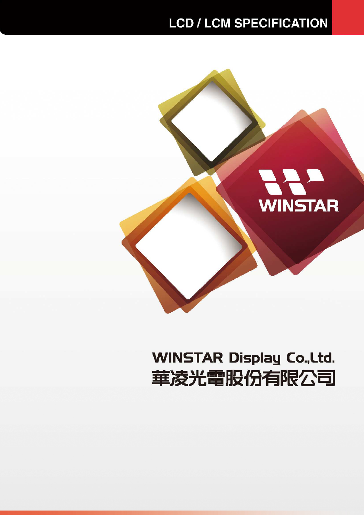## **LCD / LCM SPECIFICATION**



# **WINSTAR Display Co., Ltd.** 華凌光電股份有限公司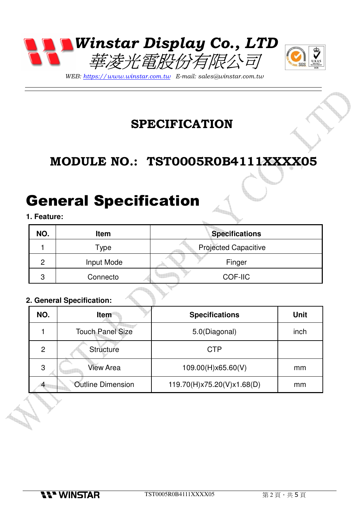



WEB: https://www.winstar.com.tw E-mail: sales@winstar.com.tw

### **SPECIFICATION**

## **MODULE NO.: TST0005R0B4111XXXX05**

# General Specification

#### **1. Feature:**

| NO. | <b>Item</b> | <b>Specifications</b>       |
|-----|-------------|-----------------------------|
|     | Type        | <b>Projected Capacitive</b> |
| റ   | Input Mode  | Finger                      |
| 3   | Connecto    | <b>COF-IIC</b>              |
|     |             |                             |

#### **2. General Specification:**

| NO. | <b>Item</b>              | <b>Specifications</b>      | <b>Unit</b> |
|-----|--------------------------|----------------------------|-------------|
|     | <b>Touch Panel Size</b>  | 5.0(Diagonal)              | inch        |
| 2   | Structure                | <b>CTP</b>                 |             |
| 3   | <b>View Area</b>         | 109.00(H)x65.60(V)         | mm          |
|     | <b>Outline Dimension</b> | 119.70(H)x75.20(V)x1.68(D) | mm          |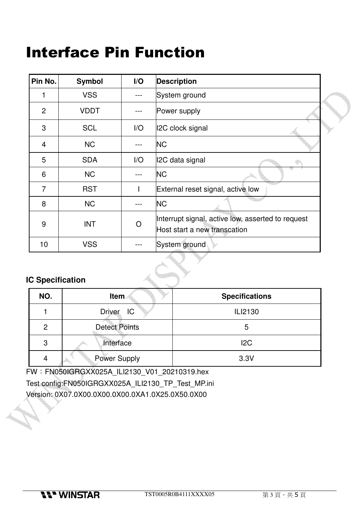# Interface Pin Function

| Pin No.        | <b>Symbol</b> | I/O                     | <b>Description</b>                                                                |
|----------------|---------------|-------------------------|-----------------------------------------------------------------------------------|
|                | <b>VSS</b>    |                         | System ground                                                                     |
| $\overline{2}$ | <b>VDDT</b>   |                         | Power supply                                                                      |
| 3              | <b>SCL</b>    | $\mathsf{I}/\mathsf{O}$ | <b>I2C clock signal</b>                                                           |
| $\overline{4}$ | <b>NC</b>     |                         | <b>NC</b>                                                                         |
| 5              | <b>SDA</b>    | $\mathsf{I}/\mathsf{O}$ | I2C data signal                                                                   |
| 6              | <b>NC</b>     |                         | <b>NC</b>                                                                         |
| $\overline{7}$ | <b>RST</b>    |                         | External reset signal, active low                                                 |
| 8              | <b>NC</b>     |                         | <b>NC</b>                                                                         |
| 9              | <b>INT</b>    | O                       | Interrupt signal, active low, asserted to request<br>Host start a new transcation |
| 10             | <b>VSS</b>    |                         | System ground                                                                     |

#### **IC Specification**

P.

| NO.            | Item                 | <b>Specifications</b> |
|----------------|----------------------|-----------------------|
|                | <b>Driver</b><br>IC  | ILI2130               |
| $\overline{2}$ | <b>Detect Points</b> | 5                     |
| 3              | Interface            | 12C                   |
| 4              | <b>Power Supply</b>  | 3.3V                  |

FW:FN050IGRGXX025A\_ILI2130\_V01\_20210319.hex Test config:FN050IGRGXX025A\_ILI2130\_TP\_Test\_MP.ini Version: 0X07.0X00.0X00.0X00.0XA1.0X25.0X50.0X00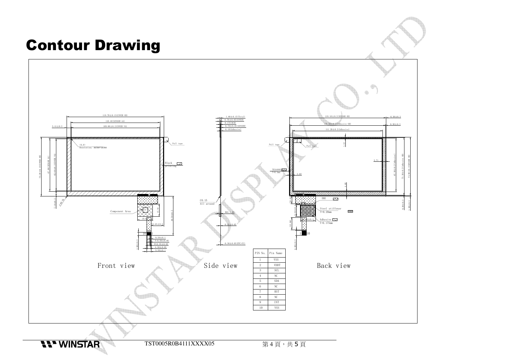# Contour Drawing